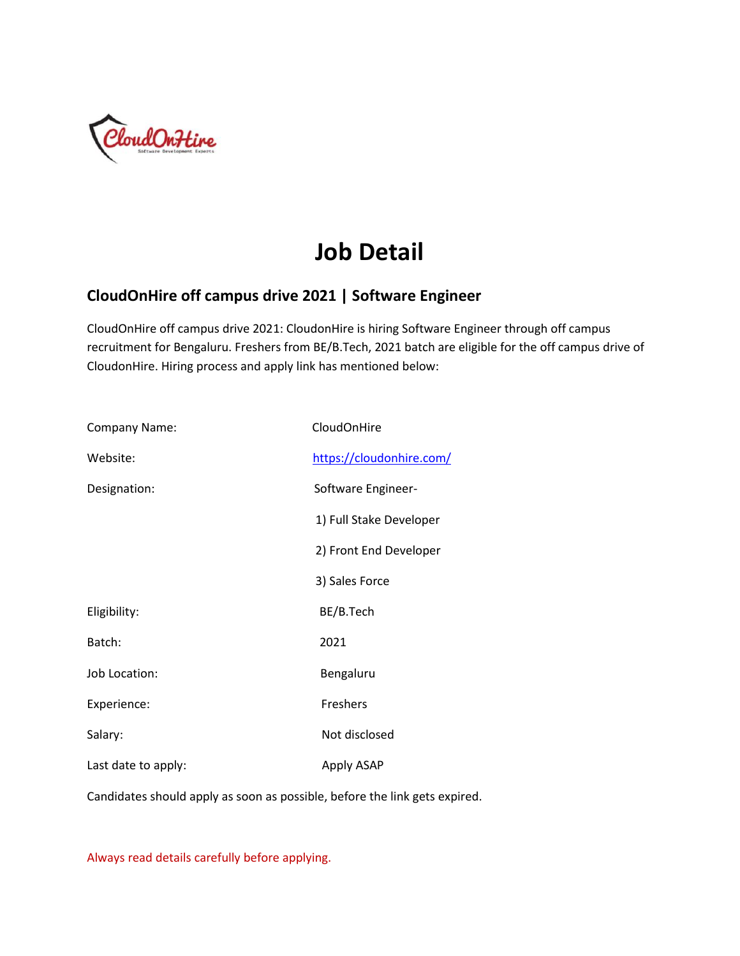

# **Job Detail**

#### **CloudOnHire off campus drive 2021 | Software Engineer**

CloudOnHire off campus drive 2021: CloudonHire is hiring Software Engineer through off campus recruitment for Bengaluru. Freshers from BE/B.Tech, 2021 batch are eligible for the off campus drive of CloudonHire. Hiring process and apply link has mentioned below:

| <b>Company Name:</b> | CloudOnHire              |
|----------------------|--------------------------|
| Website:             | https://cloudonhire.com/ |
| Designation:         | Software Engineer-       |
|                      | 1) Full Stake Developer  |
|                      | 2) Front End Developer   |
|                      | 3) Sales Force           |
| Eligibility:         | BE/B.Tech                |
| Batch:               | 2021                     |
| Job Location:        | Bengaluru                |
| Experience:          | Freshers                 |
| Salary:              | Not disclosed            |
| Last date to apply:  | Apply ASAP               |

Candidates should apply as soon as possible, before the link gets expired.

Always read details carefully before applying.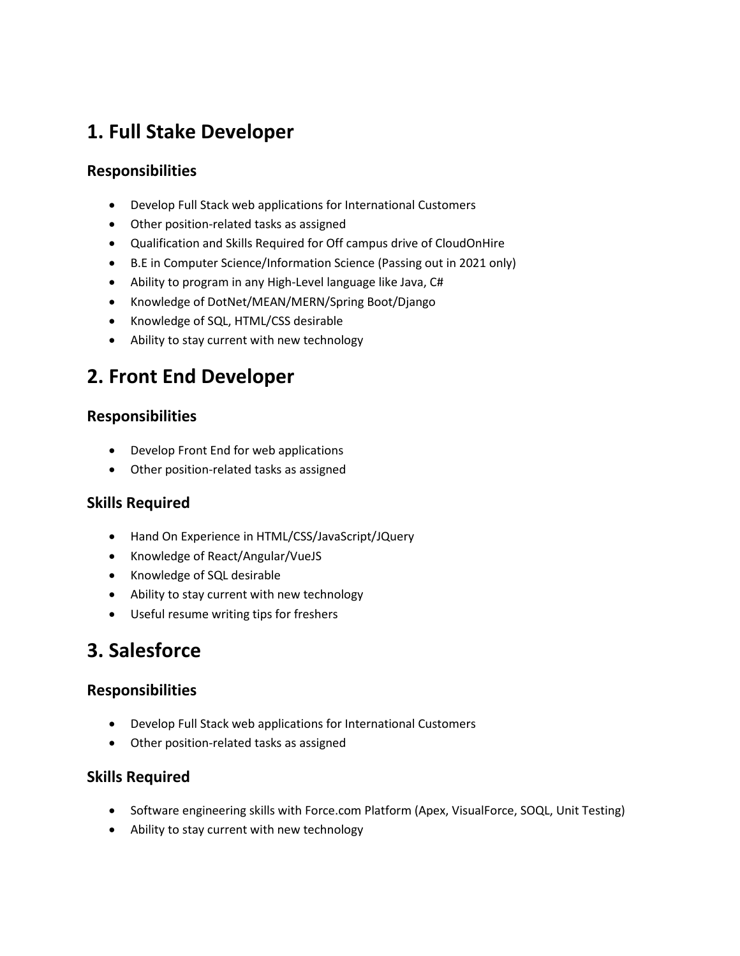# **1. Full Stake Developer**

#### **Responsibilities**

- Develop Full Stack web applications for International Customers
- Other position-related tasks as assigned
- Qualification and Skills Required for Off campus drive of CloudOnHire
- B.E in Computer Science/Information Science (Passing out in 2021 only)
- Ability to program in any High-Level language like Java, C#
- Knowledge of DotNet/MEAN/MERN/Spring Boot/Django
- Knowledge of SQL, HTML/CSS desirable
- Ability to stay current with new technology

# **2. Front End Developer**

#### **Responsibilities**

- Develop Front End for web applications
- Other position-related tasks as assigned

#### **Skills Required**

- Hand On Experience in HTML/CSS/JavaScript/JQuery
- Knowledge of React/Angular/VueJS
- Knowledge of SQL desirable
- Ability to stay current with new technology
- Useful resume writing tips for freshers

### **3. Salesforce**

#### **Responsibilities**

- Develop Full Stack web applications for International Customers
- Other position-related tasks as assigned

#### **Skills Required**

- Software engineering skills with Force.com Platform (Apex, VisualForce, SOQL, Unit Testing)
- Ability to stay current with new technology